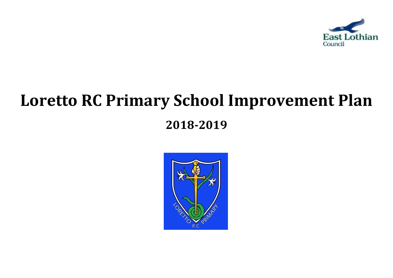

# **Loretto RC Primary School Improvement Plan**

# **2018-2019**

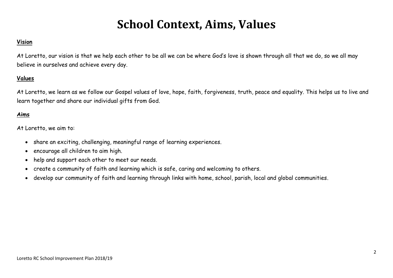# **School Context, Aims, Values**

## **Vision**

At Loretto, our vision is that we help each other to be all we can be where God's love is shown through all that we do, so we all may believe in ourselves and achieve every day.

## **Values**

At Loretto, we learn as we follow our Gospel values of love, hope, faith, forgiveness, truth, peace and equality. This helps us to live and learn together and share our individual gifts from God.

# **Aims**

At Loretto, we aim to:

- share an exciting, challenging, meaningful range of learning experiences.
- encourage all children to aim high.
- help and support each other to meet our needs.
- create a community of faith and learning which is safe, caring and welcoming to others.
- develop our community of faith and learning through links with home, school, parish, local and global communities.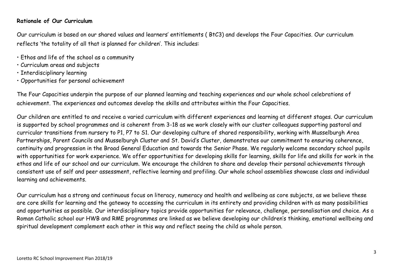### **Rationale of Our Curriculum**

Our curriculum is based on our shared values and learners' entitlements ( BtC3) and develops the Four Capacities. Our curriculum reflects 'the totality of all that is planned for children'. This includes:

- Ethos and life of the school as a community
- Curriculum areas and subjects
- Interdisciplinary learning
- Opportunities for personal achievement

The Four Capacities underpin the purpose of our planned learning and teaching experiences and our whole school celebrations of achievement. The experiences and outcomes develop the skills and attributes within the Four Capacities.

Our children are entitled to and receive a varied curriculum with different experiences and learning at different stages. Our curriculum is supported by school programmes and is coherent from 3-18 as we work closely with our cluster colleagues supporting pastoral and curricular transitions from nursery to P1, P7 to S1. Our developing culture of shared responsibility, working with Musselburgh Area Partnerships, Parent Councils and Musselburgh Cluster and St. David's Cluster, demonstrates our commitment to ensuring coherence, continuity and progression in the Broad General Education and towards the Senior Phase. We regularly welcome secondary school pupils with opportunities for work experience. We offer opportunities for developing skills for learning, skills for life and skills for work in the ethos and life of our school and our curriculum. We encourage the children to share and develop their personal achievements through consistent use of self and peer assessment, reflective learning and profiling. Our whole school assemblies showcase class and individual learning and achievements.

Our curriculum has a strong and continuous focus on literacy, numeracy and health and wellbeing as core subjects, as we believe these are core skills for learning and the gateway to accessing the curriculum in its entirety and providing children with as many possibilities and opportunities as possible. Our interdisciplinary topics provide opportunities for relevance, challenge, personalisation and choice. As a Roman Catholic school our HWB and RME programmes are linked as we believe developing our children's thinking, emotional wellbeing and spiritual development complement each other in this way and reflect seeing the child as whole person.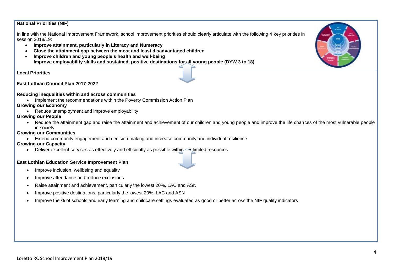#### **National Priorities (NIF)**

In line with the National Improvement Framework, school improvement priorities should clearly articulate with the following 4 key priorities in session 2018/19:

- **Improve attainment, particularly in Literacy and Numeracy**
- **Close the attainment gap between the most and least disadvantaged children**
- **Improve children and young people's health and well-being Improve employability skills and sustained, positive destinations for all young people (DYW 3 to 18)**

**Local Priorities**

**East Lothian Council Plan 2017-2022**

#### **Reducing inequalities within and across communities**

• Implement the recommendations within the Poverty Commission Action Plan

#### **Growing our Economy**

• Reduce unemployment and improve employability

#### **Growing our People**

 Reduce the attainment gap and raise the attainment and achievement of our children and young people and improve the life chances of the most vulnerable people in society

#### **Growing our Communities**

Extend community engagement and decision making and increase community and individual resilience

#### **Growing our Capacity**

• Deliver excellent services as effectively and efficiently as possible within wellmited resources

#### **East Lothian Education Service Improvement Plan**

- Improve inclusion, wellbeing and equality
- Improve attendance and reduce exclusions
- Raise attainment and achievement, particularly the lowest 20%, LAC and ASN
- Improve positive destinations, particularly the lowest 20%, LAC and ASN
- Improve the % of schools and early learning and childcare settings evaluated as good or better across the NIF quality indicators

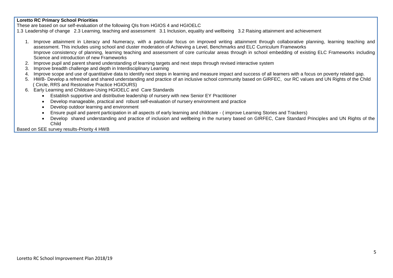#### **Loretto RC Primary School Priorities**

These are based on our self-evaluation of the following QIs from HGIOS 4 and HGIOELC

1.3 Leadership of change 2.3 Learning, teaching and assessment 3.1 Inclusion, equality and wellbeing 3.2 Raising attainment and achievement

- 1. Improve attainment in Literacy and Numeracy, with a particular focus on improved writing attainment through collaborative planning, learning teaching and assessment. This includes using school and cluster moderation of Achieving a Level, Benchmarks and ELC Curriculum Frameworks Improve consistency of planning, learning teaching and assessment of core curricular areas through in school embedding of existing ELC Frameworks including Science and introduction of new Frameworks
- 2. Improve pupil and parent shared understanding of learning targets and next steps through revised interactive system
- 3. Improve breadth challenge and depth in Interdisciplinary Learning
- 4. Improve scope and use of quantitative data to identify next steps in learning and measure impact and success of all learners with a focus on poverty related gap.
- 5. HWB- Develop a refreshed and shared understanding and practice of an inclusive school community based on GIRFEC, our RC values and UN Rights of the Child ( Circle, RRS and Restorative Practice HGIOURS)
- 6. Early Learning and Childcare-Using HGIOELC and Care Standards
	- Establish supportive and distributive leadership of nursery with new Senior EY Practitioner
	- Develop manageable, practical and robust self-evaluation of nursery environment and practice
	- Develop outdoor learning and environment
	- Ensure pupil and parent participation in all aspects of early learning and childcare ( improve Learning Stories and Trackers)
	- Develop shared understanding and practice of inclusion and wellbeing in the nursery based on GIRFEC, Care Standard Principles and UN Rights of the Child

Based on SEE survey results-Priority 4 HWB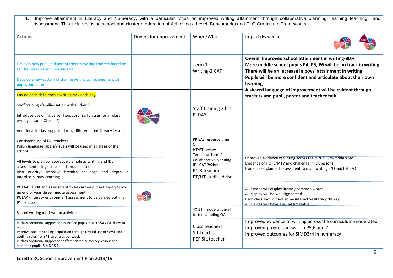1. Improve attainment in Literacy and Numeracy, with a particular focus on improved writing attainment through collaborative planning, learning teaching and assessment. This includes using school and cluster moderation of Achieving a Level, Benchmarks and ELC Curriculum Frameworks

| <b>Actions</b>                                                                                                                                                                                                                                                                                                | Drivers for improvement | When/Who                                                                               | Impact/Evidence                                                                                                                                                                                                                                                                                                           |  |  |
|---------------------------------------------------------------------------------------------------------------------------------------------------------------------------------------------------------------------------------------------------------------------------------------------------------------|-------------------------|----------------------------------------------------------------------------------------|---------------------------------------------------------------------------------------------------------------------------------------------------------------------------------------------------------------------------------------------------------------------------------------------------------------------------|--|--|
| Develop new pupil and parent friendly writing trackers based on<br><b>ELC frameworks and Benchmarks</b><br>Develop a new system of sharing writing achievements with<br>pupils and parents                                                                                                                    |                         | Term 1<br>Writing-2 CAT                                                                | Overall Improved school attainment in writing-80%<br>More middle school pupils P4, P5, P6 will be on track in writing<br>There will be an increase in boys' attainment in writing<br>Pupils will be more confident and articulate about their own<br>learning<br>A shared language of improvement will be evident through |  |  |
| Ensure each child does a writing task each day                                                                                                                                                                                                                                                                |                         |                                                                                        | trackers and pupil, parent and teacher talk                                                                                                                                                                                                                                                                               |  |  |
| Staff training /familiarisation with Clicker 7<br>Introduce use of inclusive IT support in all classes for all class<br>writing lesson (Clicker 7)                                                                                                                                                            |                         | Staff training 2 hrs<br><b>IS DAY</b>                                                  |                                                                                                                                                                                                                                                                                                                           |  |  |
| Additional in class support during differentiated literacy lessons                                                                                                                                                                                                                                            |                         |                                                                                        |                                                                                                                                                                                                                                                                                                                           |  |  |
| Consistent use of EAL trackers<br>Polish language labels/visuals will be used in all areas of the<br>school                                                                                                                                                                                                   |                         | PP EAL resource time<br>СT<br>HT/PT review<br>Term 1 or Term 2                         |                                                                                                                                                                                                                                                                                                                           |  |  |
| All levels to plan collaboratively a holistic writing and IDL<br>assessment using established model criteria<br>Also Priority3 Improve breadth challenge and depth in<br><b>Interdisciplinary Learning</b>                                                                                                    |                         | Collaborative planning<br><b>IDL CAT 2x2hrs</b><br>P1-3 teachers<br>PT/HT-audit advise | Improved evidence of writing across the curriculum-moderated<br>Evidence of HOTS/MTV and challenge in IDL lessons<br>Evidence of planned assessment to main writing E/O and IDL E/O                                                                                                                                       |  |  |
| POLAAR audit and assessment to be carried out in P1 with follow<br>up end of year three minute assessment<br>POLAAR literacy environment assessment to be carried out in all<br>P1-P3 classes                                                                                                                 |                         |                                                                                        | All classes will display literacy common words<br>All display will be well signposted<br>Each class should have some interactive literacy display<br>All classes will have a visual timetable                                                                                                                             |  |  |
| School writing moderation activities                                                                                                                                                                                                                                                                          |                         | 4X 1 hr moderation-all<br>Jotter sampling-QA                                           |                                                                                                                                                                                                                                                                                                                           |  |  |
| In class additional support for identified pupils SIMD 3&4 / EAL/boys in<br>writing<br>Improve pace of spelling acquisition through revised use of SWST and<br>spelling rules from P3-two rules per week<br>In class additional support for differentiated numeracy lessons for<br>identified pupils SIMD 3&4 |                         | Class teachers<br>SfL teacher<br>PEF SfL teacher                                       | Improved evidence of writing across the curriculum-moderated<br>Improved progress in swst in P5,6 and 7<br>Improved outcomes for SIMD3/4 in numeracy                                                                                                                                                                      |  |  |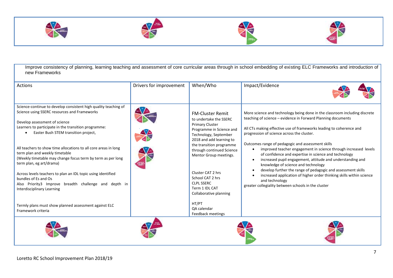







Improve consistency of planning, learning teaching and assessment of core curricular areas through in school embedding of existing ELC Frameworks and introduction of new Frameworks

| <b>Actions</b>                                                                                                                                                                                                                                                                                                                                                                                                                                                                                                                                                                                                                  | Drivers for improvement | When/Who                                                                                                                                                                                                                                                                                                                                                  | Impact/Evidence                                                                                                                                                                                                                                                                                                                                                                                                                                                                                                                                                                                                                                                                                                                                                        |
|---------------------------------------------------------------------------------------------------------------------------------------------------------------------------------------------------------------------------------------------------------------------------------------------------------------------------------------------------------------------------------------------------------------------------------------------------------------------------------------------------------------------------------------------------------------------------------------------------------------------------------|-------------------------|-----------------------------------------------------------------------------------------------------------------------------------------------------------------------------------------------------------------------------------------------------------------------------------------------------------------------------------------------------------|------------------------------------------------------------------------------------------------------------------------------------------------------------------------------------------------------------------------------------------------------------------------------------------------------------------------------------------------------------------------------------------------------------------------------------------------------------------------------------------------------------------------------------------------------------------------------------------------------------------------------------------------------------------------------------------------------------------------------------------------------------------------|
| Science-continue to develop consistent high quality teaching of<br>Science using SSERC resources and Frameworks<br>Develop assessment of science<br>Learners to participate in the transition programme:<br>Easter Bush STEM transition project,<br>All teachers to show time allocations to all core areas in long<br>term plan and weekly timetable<br>(Weekly timetable may change focus term by term as per long<br>term plan, eg art/drama)<br>Across levels teachers to plan an IDL topic using identified<br>bundles of Es and Os<br>Also Priority3 Improve breadth challenge and depth in<br>Interdisciplinary Learning |                         | <b>FM-Cluster Remit</b><br>to undertake the SSERC<br><b>Primary Cluster</b><br>Programme in Science and<br>Technology, September<br>2018 and add learning to<br>the transition programme<br>through continued Science<br>Mentor Group meetings.<br>Cluster CAT 2 hrs<br>School CAT 2 hrs<br><b>CLPL SSERC</b><br>Term 1 IDL CAT<br>Collaborative planning | More science and technology being done in the classroom including discrete<br>teaching of science - evidence in Forward Planning documents<br>All CTs making effective use of frameworks leading to coherence and<br>progression of science across the cluster.<br>Outcomes range of pedagogic and assessment skills<br>improved teacher engagement in science through increased levels<br>of confidence and expertise in science and technology<br>increased pupil engagement, attitude and understanding and<br>knowledge of science and technology<br>develop further the range of pedagogic and assessment skills<br>increased application of higher order thinking skills within science<br>and technology<br>greater collegiality between schools in the cluster |
| Termly plans must show planned assessment against ELC<br>Framework criteria                                                                                                                                                                                                                                                                                                                                                                                                                                                                                                                                                     |                         | HT/PT<br>QA calendar<br>Feedback meetings                                                                                                                                                                                                                                                                                                                 |                                                                                                                                                                                                                                                                                                                                                                                                                                                                                                                                                                                                                                                                                                                                                                        |
|                                                                                                                                                                                                                                                                                                                                                                                                                                                                                                                                                                                                                                 |                         |                                                                                                                                                                                                                                                                                                                                                           |                                                                                                                                                                                                                                                                                                                                                                                                                                                                                                                                                                                                                                                                                                                                                                        |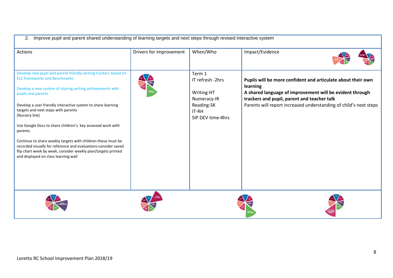| Improve pupil and parent shared understanding of learning targets and next steps through revised interactive system<br>2.                                                                                                                                                                                                                                                                                                                                                                                                                                                                                                               |                         |                                                                                                     |                                                                                                                                                                                                                                                          |  |  |  |  |
|-----------------------------------------------------------------------------------------------------------------------------------------------------------------------------------------------------------------------------------------------------------------------------------------------------------------------------------------------------------------------------------------------------------------------------------------------------------------------------------------------------------------------------------------------------------------------------------------------------------------------------------------|-------------------------|-----------------------------------------------------------------------------------------------------|----------------------------------------------------------------------------------------------------------------------------------------------------------------------------------------------------------------------------------------------------------|--|--|--|--|
| <b>Actions</b>                                                                                                                                                                                                                                                                                                                                                                                                                                                                                                                                                                                                                          | Drivers for improvement | When/Who                                                                                            | Impact/Evidence                                                                                                                                                                                                                                          |  |  |  |  |
| Develop new pupil and parent friendly writing trackers based on<br><b>ELC frameworks and Benchmarks</b><br>Develop a new system of sharing writing achievements with<br>pupils and parents<br>Develop a user friendly interactive system to share learning<br>targets and next steps with parents<br>(Nursery link)<br>Use Google Docs to share children's key assessed work with<br>parents<br>Continue to share weekly targets with children-these must be<br>recorded visually for reference and evaluations-consider saved<br>flip chart week by week, consider weekly plan/targets printed<br>and displayed on class learning wall |                         | Term 1<br>IT refresh -2hrs<br>Writing-HT<br>Numeracy-IR<br>Reading-SK<br>IT-RH<br>SIP DEV time-4hrs | Pupils will be more confident and articulate about their own<br>learning<br>A shared language of improvement will be evident through<br>trackers and pupil, parent and teacher talk<br>Parents will report increased understanding of child's next steps |  |  |  |  |
|                                                                                                                                                                                                                                                                                                                                                                                                                                                                                                                                                                                                                                         |                         |                                                                                                     |                                                                                                                                                                                                                                                          |  |  |  |  |